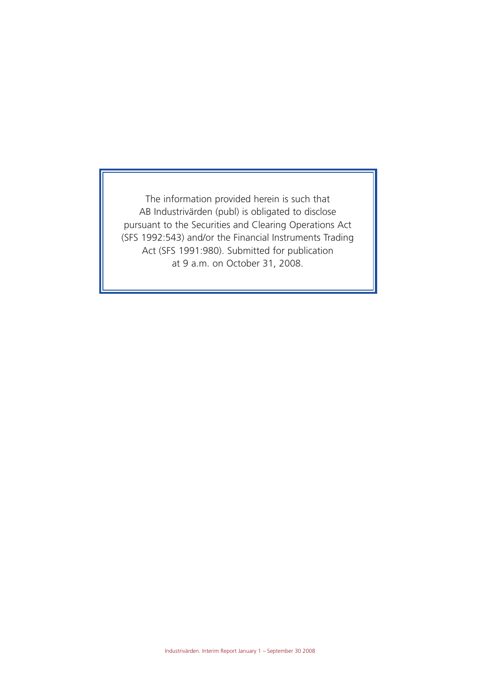The information provided herein is such that AB Industrivärden (publ) is obligated to disclose pursuant to the Securities and Clearing Operations Act (SFS 1992:543) and/or the Financial Instruments Trading Act (SFS 1991:980). Submitted for publication at 9 a.m. on October 31, 2008.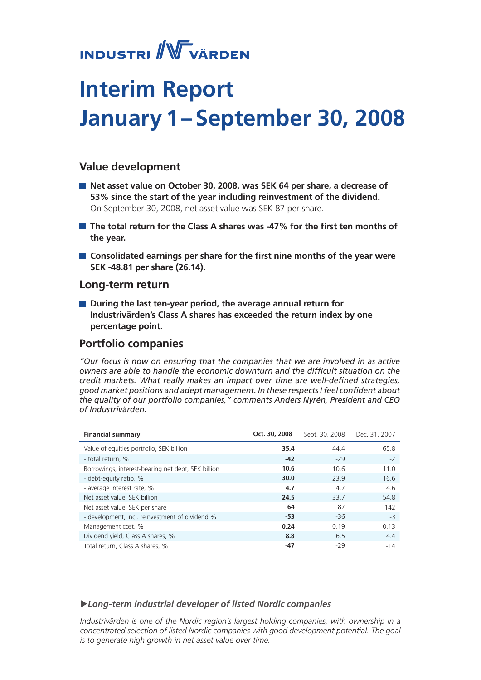## **INDUSTRI** WVÄRDEN

# **Interim Report January 1 – September 30, 2008**

### **Value development**

- **Net asset value on October 30, 2008, was SEK 64 per share, a decrease of 53% since the start of the year including reinvestment of the dividend.**  On September 30, 2008, net asset value was SEK 87 per share.
- **The total return for the Class A shares was -47% for the first ten months of the year.**
- **Consolidated earnings per share for the first nine months of the year were SEK -48.81 per share (26.14).**

### **Long-term return**

■ During the last ten-year period, the average annual return for **Industrivärden's Class A shares has exceeded the return index by one percentage point.**

### **Portfolio companies**

*"Our focus is now on ensuring that the companies that we are involved in as active owners are able to handle the economic downturn and the difficult situation on the credit markets. What really makes an impact over time are well-defined strategies, good market positions and adept management. In these respects I feel confident about the quality of our portfolio companies," comments Anders Nyrén, President and CEO of Industrivärden.* 

| <b>Financial summary</b>                           | Oct. 30, 2008 | Sept. 30, 2008 | Dec. 31, 2007 |
|----------------------------------------------------|---------------|----------------|---------------|
| Value of equities portfolio, SEK billion           | 35.4          | 44.4           | 65.8          |
| - total return, %                                  | $-42$         | $-29$          | $-2$          |
| Borrowings, interest-bearing net debt, SEK billion | 10.6          | 10.6           | 11.0          |
| - debt-equity ratio, %                             | 30.0          | 23.9           | 16.6          |
| - average interest rate, %                         | 4.7           | 4.7            | 4.6           |
| Net asset value, SEK billion                       | 24.5          | 33.7           | 54.8          |
| Net asset value, SEK per share                     | 64            | 87             | 142           |
| - development, incl. reinvestment of dividend %    | $-53$         | $-36$          | $-3$          |
| Management cost, %                                 | 0.24          | 0.19           | 0.13          |
| Dividend yield, Class A shares, %                  | 8.8           | 6.5            | 4.4           |
| Total return, Class A shares, %                    | $-47$         | $-29$          | $-14$         |

### u*Long-term industrial developer of listed Nordic companies*

*Industrivärden is one of the Nordic region's largest holding companies, with ownership in a concentrated selection of listed Nordic companies with good development potential. The goal is to generate high growth in net asset value over time.*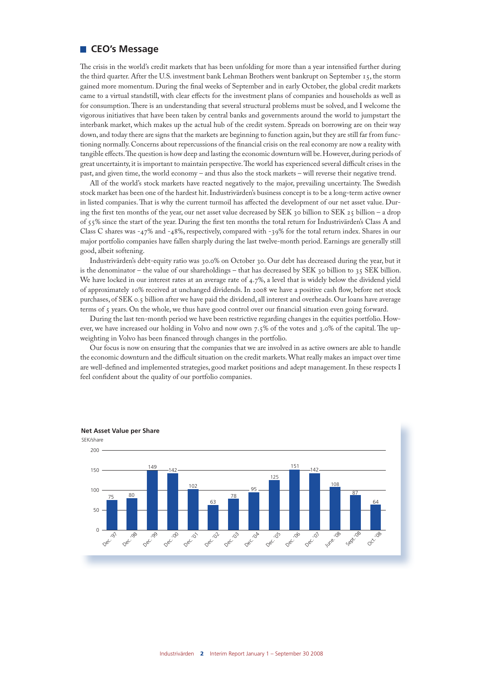### **CEO's Message**

The crisis in the world's credit markets that has been unfolding for more than a year intensified further during the third quarter. After the U.S. investment bank Lehman Brothers went bankrupt on September 15, the storm gained more momentum. During the final weeks of September and in early October, the global credit markets came to a virtual standstill, with clear effects for the investment plans of companies and households as well as for consumption. There is an understanding that several structural problems must be solved, and I welcome the vigorous initiatives that have been taken by central banks and governments around the world to jumpstart the interbank market, which makes up the actual hub of the credit system. Spreads on borrowing are on their way down, and today there are signs that the markets are beginning to function again, but they are still far from functioning normally. Concerns about repercussions of the financial crisis on the real economy are now a reality with tangible effects. The question is how deep and lasting the economic downturn will be. However, during periods of great uncertainty, it is important to maintain perspective. The world has experienced several difficult crises in the past, and given time, the world economy – and thus also the stock markets – will reverse their negative trend.

All of the world's stock markets have reacted negatively to the major, prevailing uncertainty. The Swedish stock market has been one of the hardest hit. Industrivärden's business concept is to be a long-term active owner in listed companies. That is why the current turmoil has affected the development of our net asset value. During the first ten months of the year, our net asset value decreased by SEK 30 billion to SEK 25 billion – a drop of 55% since the start of the year. During the first ten months the total return for Industrivärden's Class A and Class C shares was -47% and -48%, respectively, compared with -39% for the total return index. Shares in our major portfolio companies have fallen sharply during the last twelve-month period. Earnings are generally still good, albeit softening.

Industrivärden's debt-equity ratio was 30.0% on October 30. Our debt has decreased during the year, but it is the denominator – the value of our shareholdings – that has decreased by SEK 30 billion to 35 SEK billion. We have locked in our interest rates at an average rate of 4.7%, a level that is widely below the dividend yield of approximately 10% received at unchanged dividends. In 2008 we have a positive cash flow, before net stock purchases, of SEK 0.5 billion after we have paid the dividend, all interest and overheads. Our loans have average terms of 5 years. On the whole, we thus have good control over our financial situation even going forward.

During the last ten-month period we have been restrictive regarding changes in the equities portfolio. However, we have increased our holding in Volvo and now own 7.5% of the votes and 3.0% of the capital. The upweighting in Volvo has been financed through changes in the portfolio.

Our focus is now on ensuring that the companies that we are involved in as active owners are able to handle the economic downturn and the difficult situation on the credit markets. What really makes an impact over time are well-defined and implemented strategies, good market positions and adept management. In these respects I feel confident about the quality of our portfolio companies.

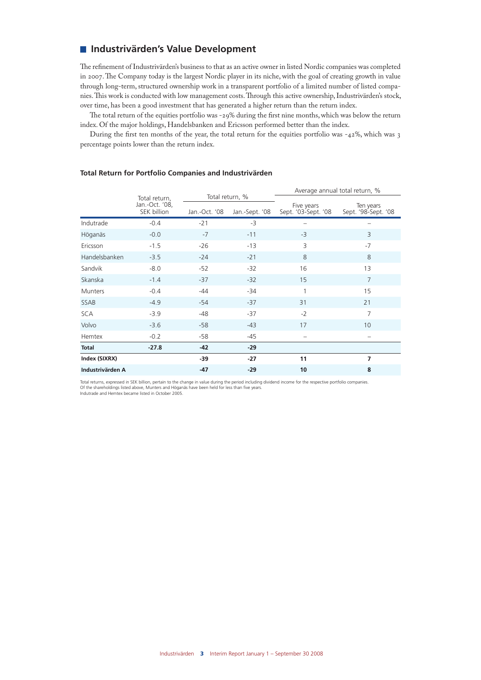### **Industrivärden's Value Development**

The refinement of Industrivärden's business to that as an active owner in listed Nordic companies was completed in 2007. The Company today is the largest Nordic player in its niche, with the goal of creating growth in value through long-term, structured ownership work in a transparent portfolio of a limited number of listed companies. This work is conducted with low management costs. Through this active ownership, Industrivärden's stock, over time, has been a good investment that has generated a higher return than the return index.

The total return of the equities portfolio was -29% during the first nine months, which was below the return index. Of the major holdings, Handelsbanken and Ericsson performed better than the index.

During the first ten months of the year, the total return for the equities portfolio was -42%, which was 3 percentage points lower than the return index.

|                  |                                                |                                  | Average annual total return, % |                                   |                                  |
|------------------|------------------------------------------------|----------------------------------|--------------------------------|-----------------------------------|----------------------------------|
|                  | Total return,<br>Jan.-Oct. '08,<br>SEK billion | Total return, %<br>Jan.-Oct. '08 | Jan.-Sept. '08                 | Five years<br>Sept. '03-Sept. '08 | Ten years<br>Sept. '98-Sept. '08 |
| Indutrade        | $-0.4$                                         | $-21$                            | -3                             |                                   |                                  |
| Höganäs          | $-0.0$                                         | $-7$                             | $-11$                          | $-3$                              | 3                                |
| Ericsson         | $-1.5$                                         | $-26$                            | $-13$                          | 3                                 | $-7$                             |
| Handelsbanken    | $-3.5$                                         | $-24$                            | $-21$                          | 8                                 | 8                                |
| Sandvik          | $-8.0$                                         | $-52$                            | $-32$                          | 16                                | 13                               |
| Skanska          | $-1.4$                                         | $-37$                            | $-32$                          | 15                                | 7                                |
| <b>Munters</b>   | $-0.4$                                         | $-44$                            | $-34$                          | $\mathbf{1}$                      | 15                               |
| SSAB             | $-4.9$                                         | $-54$                            | $-37$                          | 31                                | 21                               |
| <b>SCA</b>       | $-3.9$                                         | -48                              | $-37$                          | $-2$                              | $\overline{7}$                   |
| Volvo            | $-3.6$                                         | $-58$                            | -43                            | 17                                | 10                               |
| Hemtex           | $-0.2$                                         | -58                              | $-45$                          | $\overline{\phantom{0}}$          | $\overline{\phantom{0}}$         |
| <b>Total</b>     | $-27.8$                                        | $-42$                            | $-29$                          |                                   |                                  |
| Index (SIXRX)    |                                                | $-39$                            | $-27$                          | 11                                | $\overline{ }$                   |
| Industrivärden A |                                                | $-47$                            | $-29$                          | 10                                | 8                                |

### **Total Return for Portfolio Companies and Industrivärden**

Total returns, expressed in SEK billion, pertain to the change in value during the period including dividend income for the respective portfolio companies.<br>Of the shareholdings listed above, Munters and Höganäs have been h

Indutrade and Hemtex became listed in October 2005.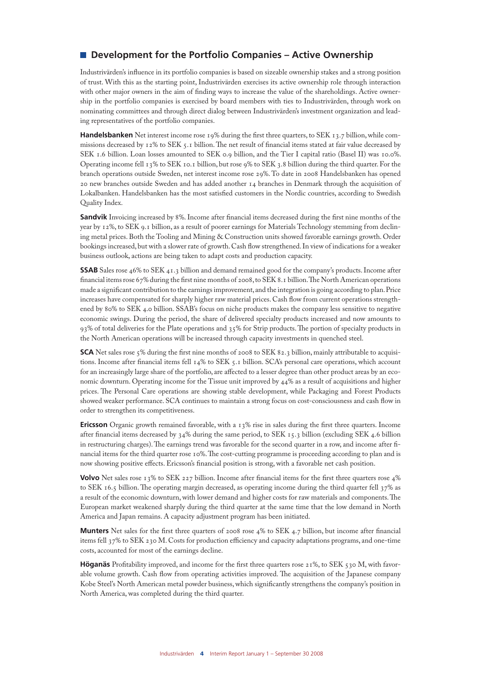### ■ Development for the Portfolio Companies – Active Ownership

Industrivärden's influence in its portfolio companies is based on sizeable ownership stakes and a strong position of trust. With this as the starting point, Industrivärden exercises its active ownership role through interaction with other major owners in the aim of finding ways to increase the value of the shareholdings. Active ownership in the portfolio companies is exercised by board members with ties to Industrivärden, through work on nominating committees and through direct dialog between Industrivärden's investment organization and leading representatives of the portfolio companies.

**Handelsbanken** Net interest income rose 19% during the first three quarters, to SEK 13.7 billion, while commissions decreased by 12% to SEK 5.1 billion. The net result of financial items stated at fair value decreased by SEK 1.6 billion. Loan losses amounted to SEK 0.9 billion, and the Tier I capital ratio (Basel II) was 10.0%. Operating income fell 13% to SEK 10.1 billion, but rose 9% to SEK 3.8 billion during the third quarter. For the branch operations outside Sweden, net interest income rose 29%. To date in 2008 Handelsbanken has opened 20 new branches outside Sweden and has added another 14 branches in Denmark through the acquisition of Lokalbanken. Handelsbanken has the most satisfied customers in the Nordic countries, according to Swedish Quality Index.

**Sandvik** Invoicing increased by 8%. Income after financial items decreased during the first nine months of the year by 12%, to SEK 9.1 billion, as a result of poorer earnings for Materials Technology stemming from declining metal prices. Both the Tooling and Mining & Construction units showed favorable earnings growth. Order bookings increased, but with a slower rate of growth. Cash flow strengthened. In view of indications for a weaker business outlook, actions are being taken to adapt costs and production capacity.

**SSAB** Sales rose 46% to SEK 41.3 billion and demand remained good for the company's products. Income after financial items rose 67% during the first nine months of 2008, to SEK 8.1 billion. The North American operations made a significant contribution to the earnings improvement, and the integration is going according to plan. Price increases have compensated for sharply higher raw material prices. Cash flow from current operations strengthened by 80% to SEK 4.0 billion. SSAB's focus on niche products makes the company less sensitive to negative economic swings. During the period, the share of delivered specialty products increased and now amounts to 93% of total deliveries for the Plate operations and 35% for Strip products. The portion of specialty products in the North American operations will be increased through capacity investments in quenched steel.

**SCA** Net sales rose 5% during the first nine months of 2008 to SEK 82.3 billion, mainly attributable to acquisitions. Income after financial items fell 14% to SEK 5.1 billion. SCA's personal care operations, which account for an increasingly large share of the portfolio, are affected to a lesser degree than other product areas by an economic downturn. Operating income for the Tissue unit improved by 44% as a result of acquisitions and higher prices. The Personal Care operations are showing stable development, while Packaging and Forest Products showed weaker performance. SCA continues to maintain a strong focus on cost-consciousness and cash flow in order to strengthen its competitiveness.

**Ericsson** Organic growth remained favorable, with a 13% rise in sales during the first three quarters. Income after financial items decreased by 34% during the same period, to SEK 15.3 billion (excluding SEK 4.6 billion in restructuring charges). The earnings trend was favorable for the second quarter in a row, and income after financial items for the third quarter rose 10%. The cost-cutting programme is proceeding according to plan and is now showing positive effects. Ericsson's financial position is strong, with a favorable net cash position.

**Volvo** Net sales rose 13% to SEK 227 billion. Income after financial items for the first three quarters rose 4% to SEK 16.5 billion. The operating margin decreased, as operating income during the third quarter fell 37% as a result of the economic downturn, with lower demand and higher costs for raw materials and components. The European market weakened sharply during the third quarter at the same time that the low demand in North America and Japan remains. A capacity adjustment program has been initiated.

**Munters** Net sales for the first three quarters of 2008 rose 4% to SEK 4.7 billion, but income after financial items fell 37% to SEK 230 M. Costs for production efficiency and capacity adaptations programs, and one-time costs, accounted for most of the earnings decline.

**Höganäs** Profitability improved, and income for the first three quarters rose  $21\%$ , to SEK 530 M, with favorable volume growth. Cash flow from operating activities improved. The acquisition of the Japanese company Kobe Steel's North American metal powder business, which significantly strengthens the company's position in North America, was completed during the third quarter.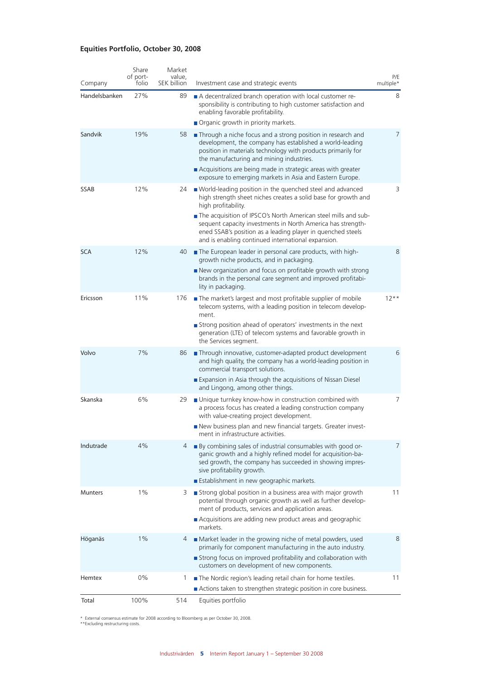### **Equities Portfolio, October 30, 2008**

|                | Share<br>of port- | Market<br>value, |                                                                                                                                                                                                                                                    | P/E            |
|----------------|-------------------|------------------|----------------------------------------------------------------------------------------------------------------------------------------------------------------------------------------------------------------------------------------------------|----------------|
| Company        | folio             | SEK billion      | Investment case and strategic events                                                                                                                                                                                                               | multiple*      |
| Handelsbanken  | 27%               | 89               | A decentralized branch operation with local customer re-<br>sponsibility is contributing to high customer satisfaction and<br>enabling favorable profitability.                                                                                    | 8              |
|                |                   |                  | Organic growth in priority markets.                                                                                                                                                                                                                |                |
| Sandvik        | 19%               | 58               | Through a niche focus and a strong position in research and<br>development, the company has established a world-leading<br>position in materials technology with products primarily for<br>the manufacturing and mining industries.                | $\overline{7}$ |
|                |                   |                  | Acquisitions are being made in strategic areas with greater<br>exposure to emerging markets in Asia and Eastern Europe.                                                                                                                            |                |
| SSAB           | 12%               | 24               | ■ World-leading position in the quenched steel and advanced<br>high strength sheet niches creates a solid base for growth and<br>high profitability.                                                                                               | 3              |
|                |                   |                  | The acquisition of IPSCO's North American steel mills and sub-<br>sequent capacity investments in North America has strength-<br>ened SSAB's position as a leading player in quenched steels<br>and is enabling continued international expansion. |                |
| <b>SCA</b>     | 12%               | 40               | The European leader in personal care products, with high-<br>growth niche products, and in packaging.                                                                                                                                              | 8              |
|                |                   |                  | New organization and focus on profitable growth with strong<br>brands in the personal care segment and improved profitabi-<br>lity in packaging.                                                                                                   |                |
| Ericsson       | 11%               | 176              | The market's largest and most profitable supplier of mobile<br>telecom systems, with a leading position in telecom develop-<br>ment.                                                                                                               | $12**$         |
|                |                   |                  | Strong position ahead of operators' investments in the next<br>generation (LTE) of telecom systems and favorable growth in<br>the Services segment.                                                                                                |                |
| Volvo          | 7%                | 86               | Through innovative, customer-adapted product development<br>and high quality, the company has a world-leading position in<br>commercial transport solutions.                                                                                       | 6              |
|                |                   |                  | Expansion in Asia through the acquisitions of Nissan Diesel<br>and Lingong, among other things.                                                                                                                                                    |                |
| Skanska        | 6%                | 29               | ■ Unique turnkey know-how in construction combined with<br>a process focus has created a leading construction company<br>with value-creating project development.                                                                                  | 7              |
|                |                   |                  | New business plan and new financial targets. Greater invest-<br>ment in infrastructure activities.                                                                                                                                                 |                |
| Indutrade      | 4%                | 4                | By combining sales of industrial consumables with good or-<br>ganic growth and a highly refined model for acquisition-ba-<br>sed growth, the company has succeeded in showing impres-<br>sive profitability growth.                                | 7              |
|                |                   |                  | Establishment in new geographic markets.                                                                                                                                                                                                           |                |
| <b>Munters</b> | 1%                | 3                | Strong global position in a business area with major growth<br>potential through organic growth as well as further develop-<br>ment of products, services and application areas.                                                                   | 11             |
|                |                   |                  | Acquisitions are adding new product areas and geographic<br>markets.                                                                                                                                                                               |                |
| Höganäs        | 1%                | 4                | Market leader in the growing niche of metal powders, used<br>primarily for component manufacturing in the auto industry.                                                                                                                           | 8              |
|                |                   |                  | Strong focus on improved profitability and collaboration with<br>customers on development of new components.                                                                                                                                       |                |
| Hemtex         | 0%                | 1                | The Nordic region's leading retail chain for home textiles.<br>Actions taken to strengthen strategic position in core business.                                                                                                                    | 11             |
| Total          | 100%              | 514              | Equities portfolio                                                                                                                                                                                                                                 |                |

\* External consensus estimate for 2008 according to Bloomberg as per October 30, 2008. \*\*Excluding restructuring costs.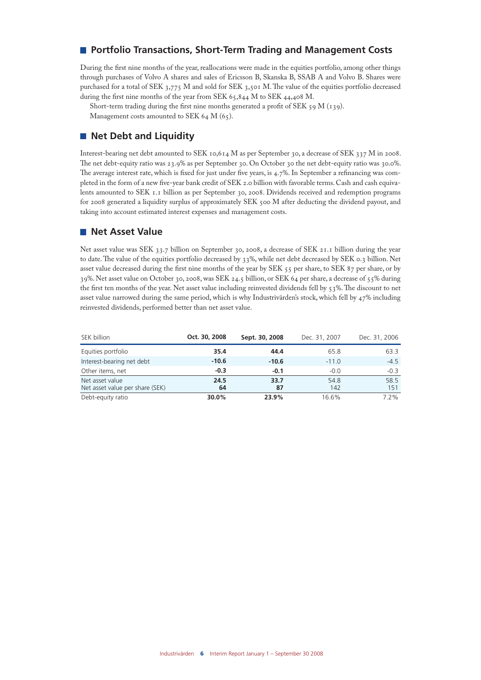### **Portfolio Transactions, Short-Term Trading and Management Costs**

During the first nine months of the year, reallocations were made in the equities portfolio, among other things through purchases of Volvo A shares and sales of Ericsson B, Skanska B, SSAB A and Volvo B. Shares were purchased for a total of SEK 3,775 M and sold for SEK 3,501 M. The value of the equities portfolio decreased during the first nine months of the year from SEK 65,844 M to SEK 44,408 M.

Short-term trading during the first nine months generated a profit of SEK 59 M (139).

Management costs amounted to SEK 64 M (65).

### **Net Debt and Liquidity**

Interest-bearing net debt amounted to SEK 10,614 M as per September 30, a decrease of SEK 337 M in 2008. The net debt-equity ratio was 23.9% as per September 30. On October 30 the net debt-equity ratio was 30.0%. The average interest rate, which is fixed for just under five years, is 4.7%. In September a refinancing was completed in the form of a new five-year bank credit of SEK 2.0 billion with favorable terms. Cash and cash equivalents amounted to SEK 1.1 billion as per September 30, 2008. Dividends received and redemption programs for 2008 generated a liquidity surplus of approximately SEK 500 M after deducting the dividend payout, and taking into account estimated interest expenses and management costs.

### **Net Asset Value**

Net asset value was SEK 33.7 billion on September 30, 2008, a decrease of SEK 21.1 billion during the year to date. The value of the equities portfolio decreased by 33%, while net debt decreased by SEK 0.3 billion. Net asset value decreased during the first nine months of the year by SEK 55 per share, to SEK 87 per share, or by 39%. Net asset value on October 30, 2008, was SEK 24.5 billion, or SEK 64 per share, a decrease of 55% during the first ten months of the year. Net asset value including reinvested dividends fell by 53%. The discount to net asset value narrowed during the same period, which is why Industrivärden's stock, which fell by 47% including reinvested dividends, performed better than net asset value.

| SEK billion                                        | Oct. 30, 2008 | Sept. 30, 2008 | Dec. 31, 2007 | Dec. 31, 2006 |
|----------------------------------------------------|---------------|----------------|---------------|---------------|
| Equities portfolio                                 | 35.4          | 44.4           | 65.8          | 63.3          |
| Interest-bearing net debt                          | $-10.6$       | $-10.6$        | $-11.0$       | $-4.5$        |
| Other items, net                                   | $-0.3$        | $-0.1$         | $-0.0$        | $-0.3$        |
| Net asset value<br>Net asset value per share (SEK) | 24.5<br>64    | 33.7<br>87     | 54.8<br>142   | 58.5<br>151   |
| Debt-equity ratio                                  | 30.0%         | 23.9%          | 16.6%         | $7.2\%$       |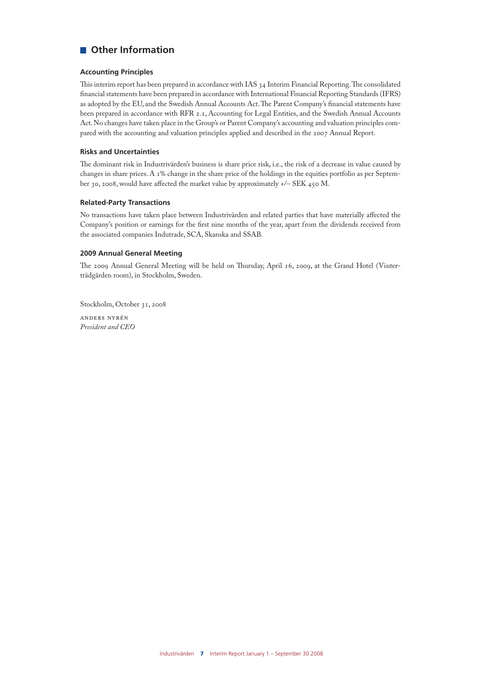### **Other Information**

#### **Accounting Principles**

This interim report has been prepared in accordance with IAS 34 Interim Financial Reporting. The consolidated financial statements have been prepared in accordance with International Financial Reporting Standards (IFRS) as adopted by the EU, and the Swedish Annual Accounts Act. The Parent Company's financial statements have been prepared in accordance with RFR 2.1, Accounting for Legal Entities, and the Swedish Annual Accounts Act. No changes have taken place in the Group's or Parent Company's accounting and valuation principles compared with the accounting and valuation principles applied and described in the 2007 Annual Report.

### **Risks and Uncertainties**

The dominant risk in Industrivärden's business is share price risk, i.e., the risk of a decrease in value caused by changes in share prices. A 1% change in the share price of the holdings in the equities portfolio as per September 30, 2008, would have affected the market value by approximately +/– SEK 450 M.

### **Related-Party Transactions**

No transactions have taken place between Industrivärden and related parties that have materially affected the Company's position or earnings for the first nine months of the year, apart from the dividends received from the associated companies Indutrade, SCA, Skanska and SSAB.

### **2009 Annual General Meeting**

The 2009 Annual General Meeting will be held on Thursday, April 16, 2009, at the Grand Hotel (Vinterträdgården room), in Stockholm, Sweden.

Stockholm, October 31, 2008

Anders Nyrén *President and CEO*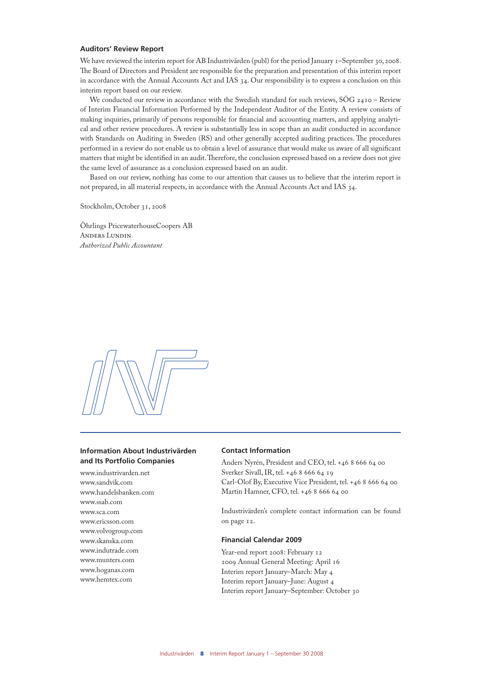#### **Auditors' Review Report**

We have reviewed the interim report for AB Industrivärden (publ) for the period January 1–September 30, 2008. The Board of Directors and President are responsible for the preparation and presentation of this interim report in accordance with the Annual Accounts Act and IAS 34. Our responsibility is to express a conclusion on this interim report based on our review.

We conducted our review in accordance with the Swedish standard for such reviews, SÖG 2410 – Review of Interim Financial Information Performed by the Independent Auditor of the Entity. A review consists of making inquiries, primarily of persons responsible for financial and accounting matters, and applying analytical and other review procedures. A review is substantially less in scope than an audit conducted in accordance with Standards on Auditing in Sweden (RS) and other generally accepted auditing practices. The procedures performed in a review do not enable us to obtain a level of assurance that would make us aware of all significant matters that might be identified in an audit. Therefore, the conclusion expressed based on a review does not give the same level of assurance as a conclusion expressed based on an audit.

Based on our review, nothing has come to our attention that causes us to believe that the interim report is not prepared, in all material respects, in accordance with the Annual Accounts Act and IAS 34.

Stockholm, October 31, 2008

Öhrlings PricewaterhouseCoopers AB Anders Lundin *Authorized Public Accountant*



### **Information About Industrivärden and Its Portfolio Companies**

www.industrivarden.net www.sandvik.com www.handelsbanken.com www.ssab.com www.sca.com www.ericsson.com www.volvogroup.com www.skanska.com www.indutrade.com www.munters.com www.hoganas.com www.hemtex.com

#### **Contact Information**

Anders Nyrén, President and CEO, tel. +46 8 666 64 00 Sverker Sivall, IR, tel. +46 8 666 64 19 Carl-Olof By, Executive Vice President, tel. +46 8 666 64 00 Martin Hamner, CFO, tel. +46 8 666 64 00

Industrivärden's complete contact information can be found on page 12.

### **Financial Calendar 2009**

Year-end report 2008: February 12 2009 Annual General Meeting: April 16 Interim report January–March: May 4 Interim report January–June: August 4 Interim report January–September: October 30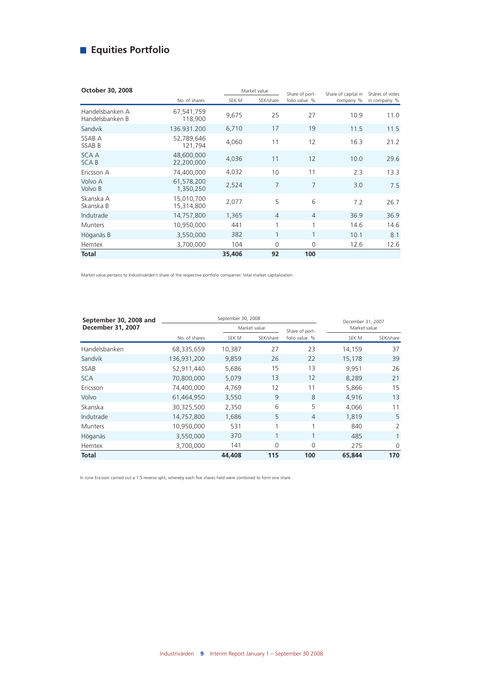## **Equities Portfolio**

| October 30, 2008                   |                          |        | Market value   |                                  | Share of capital in | Shares of votes |
|------------------------------------|--------------------------|--------|----------------|----------------------------------|---------------------|-----------------|
|                                    | No. of shares            | SEK M  | SEK/share      | Share of port-<br>folio value. % | company. %          | in company. %   |
| Handelsbanken A<br>Handelsbanken B | 67,541,759<br>118,900    | 9,675  | 25             | 27                               | 10.9                | 11.0            |
| Sandvik                            | 136.931.200              | 6,710  | 17             | 19                               | 11.5                | 11.5            |
| SSAB A<br><b>SSAB B</b>            | 52,789,646<br>121,794    | 4,060  | 11             | 12                               | 16.3                | 21.2            |
| <b>SCAA</b><br><b>SCAB</b>         | 48,600,000<br>22,200,000 | 4,036  | 11             | 12                               | 10.0                | 29.6            |
| Ericsson A                         | 74,400,000               | 4,032  | 10             | 11                               | 2.3                 | 13.3            |
| Volvo A<br>Volvo B                 | 61,578,200<br>1,350,250  | 2,524  | $\overline{7}$ | $\overline{7}$                   | 3.0                 | 7.5             |
| Skanska A<br>Skanska B             | 15,010,700<br>15,314,800 | 2,077  | 5              | 6                                | 7.2                 | 26.7            |
| Indutrade                          | 14,757,800               | 1,365  | $\overline{4}$ | $\overline{4}$                   | 36.9                | 36.9            |
| <b>Munters</b>                     | 10,950,000               | 441    | 1              | 1                                | 14.6                | 14.6            |
| Höganäs B                          | 3,550,000                | 382    | 1              | 1                                | 10.1                | 8.1             |
| Hemtex                             | 3,700,000                | 104    | $\Omega$       | $\Omega$                         | 12.6                | 12.6            |
| <b>Total</b>                       |                          | 35,406 | 92             | 100                              |                     |                 |

Market value pertains to Industrivärden's share of the respective portfolio companies' total market capitalization.

| September 30, 2008 |        |              |                | December 31, 2007 |              |
|--------------------|--------|--------------|----------------|-------------------|--------------|
|                    |        | Market value |                | Market value      |              |
| No. of shares      | SEK M  | SEK/share    | folio value. % | SEK M             | SEK/share    |
| 68,335,659         | 10,387 | 27           | 23             | 14,159            | 37           |
| 136,931,200        | 9.859  | 26           | 22             | 15,178            | 39           |
| 52,911,440         | 5,686  | 15           | 13             | 9,951             | 26           |
| 70,800,000         | 5,079  | 13           | 12             | 8,289             | 21           |
| 74,400,000         | 4,769  | 12           | 11             | 5.866             | 15           |
| 61,464,950         | 3,550  | 9            | 8              | 4,916             | 13           |
| 30,325,500         | 2,350  | 6            | 5              | 4,066             | 11           |
| 14,757,800         | 1,686  | 5            | $\overline{4}$ | 1.819             | 5            |
| 10,950,000         | 531    | 1            | 1              | 840               | 2            |
| 3,550,000          | 370    |              | 1              | 485               | $\mathbf{1}$ |
| 3,700,000          | 141    | 0            | 0              | 275               | $\mathbf 0$  |
|                    | 44,408 | 115          | 100            | 65,844            | 170          |
|                    |        |              |                | Share of port-    |              |

In June Ericsson carried out a 1:5 reverse split, whereby each five shares held were combined to form one share.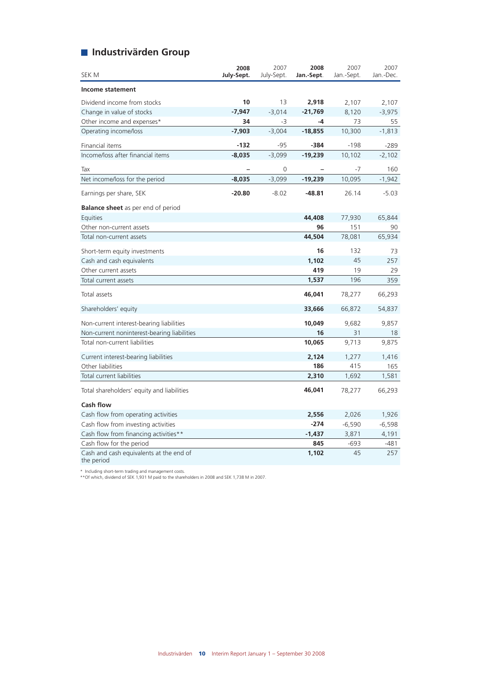## **Industrivärden Group**

| SEK M                                                 | 2008<br>July-Sept. | 2007<br>July-Sept. | 2008<br>Jan.-Sept. | 2007<br>Jan.-Sept. | 2007<br>Jan.-Dec. |
|-------------------------------------------------------|--------------------|--------------------|--------------------|--------------------|-------------------|
| Income statement                                      |                    |                    |                    |                    |                   |
| Dividend income from stocks                           | 10                 | 13                 | 2,918              | 2,107              | 2,107             |
| Change in value of stocks                             | $-7,947$           | $-3,014$           | $-21,769$          | 8,120              | $-3,975$          |
| Other income and expenses*                            | 34                 | -3                 | -4                 | 73                 | 55                |
| Operating income/loss                                 | $-7,903$           | $-3,004$           | $-18,855$          | 10,300             | $-1,813$          |
| Financial items                                       | $-132$             | $-95$              | $-384$             | $-198$             | $-289$            |
| Income/loss after financial items                     | $-8,035$           | $-3,099$           | $-19,239$          | 10,102             | $-2,102$          |
| Tax                                                   |                    | 0                  |                    | $-7$               | 160               |
| Net income/loss for the period                        | $-8,035$           | $-3,099$           | $-19,239$          | 10,095             | $-1,942$          |
| Earnings per share, SEK                               | $-20.80$           | $-8.02$            | $-48.81$           | 26.14              | $-5.03$           |
| <b>Balance sheet</b> as per end of period             |                    |                    |                    |                    |                   |
| Equities                                              |                    |                    | 44,408             | 77,930             | 65,844            |
| Other non-current assets                              |                    |                    | 96                 | 151                | 90                |
| Total non-current assets                              |                    |                    | 44,504             | 78,081             | 65,934            |
| Short-term equity investments                         |                    |                    | 16                 | 132                | 73                |
| Cash and cash equivalents                             |                    |                    | 1,102              | 45                 | 257               |
| Other current assets                                  |                    |                    | 419                | 19                 | 29                |
| Total current assets                                  |                    |                    | 1,537              | 196                | 359               |
| Total assets                                          |                    |                    | 46,041             | 78,277             | 66,293            |
| Shareholders' equity                                  |                    |                    | 33,666             | 66,872             | 54,837            |
| Non-current interest-bearing liabilities              |                    |                    | 10,049             | 9,682              | 9,857             |
| Non-current noninterest-bearing liabilities           |                    |                    | 16                 | 31                 | 18                |
| Total non-current liabilities                         |                    |                    | 10,065             | 9,713              | 9,875             |
| Current interest-bearing liabilities                  |                    |                    | 2,124              | 1,277              | 1,416             |
| Other liabilities                                     |                    |                    | 186                | 415                | 165               |
| Total current liabilities                             |                    |                    | 2,310              | 1,692              | 1,581             |
| Total shareholders' equity and liabilities            |                    |                    | 46,041             | 78,277             | 66,293            |
| Cash flow                                             |                    |                    |                    |                    |                   |
| Cash flow from operating activities                   |                    |                    | 2,556              | 2,026              | 1,926             |
| Cash flow from investing activities                   |                    |                    | -274               | $-6,590$           | $-6,598$          |
| Cash flow from financing activities**                 |                    |                    | $-1,437$           | 3,871              | 4,191             |
| Cash flow for the period                              |                    |                    | 845                | $-693$             | -481              |
| Cash and cash equivalents at the end of<br>the period |                    |                    | 1,102              | 45                 | 257               |

\* Including short-term trading and management costs. \*\*Of which, dividend of SEK 1,931 M paid to the shareholders in 2008 and SEK 1,738 M in 2007.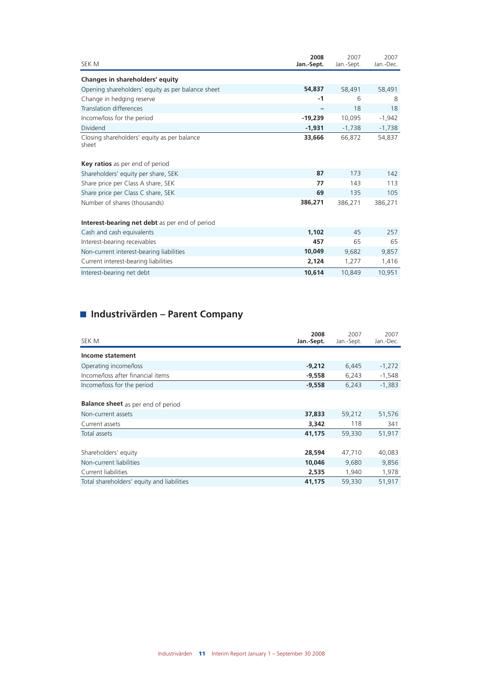| SEK M                                                | 2008<br>Jan.-Sept. | 2007<br>Jan.-Sept. | 2007<br>Jan.-Dec. |
|------------------------------------------------------|--------------------|--------------------|-------------------|
| Changes in shareholders' equity                      |                    |                    |                   |
| Opening shareholders' equity as per balance sheet    | 54,837             | 58,491             | 58,491            |
| Change in hedging reserve                            | $-1$               | 6                  | 8                 |
| Translation differences                              | -                  | 18                 | 18                |
| Income/loss for the period                           | $-19,239$          | 10,095             | $-1,942$          |
| Dividend                                             | $-1,931$           | $-1,738$           | $-1,738$          |
| Closing shareholders' equity as per balance<br>sheet | 33,666             | 66,872             | 54,837            |
| <b>Key ratios</b> as per end of period               |                    |                    |                   |
| Shareholders' equity per share, SEK                  | 87                 | 173                | 142               |
| Share price per Class A share, SEK                   | 77                 | 143                | 113               |
| Share price per Class C share, SEK                   | 69                 | 135                | 105               |
| Number of shares (thousands)                         | 386,271            | 386,271            | 386,271           |
| Interest-bearing net debt as per end of period       |                    |                    |                   |
| Cash and cash equivalents                            | 1,102              | 45                 | 257               |
| Interest-bearing receivables                         | 457                | 65                 | 65                |
| Non-current interest-bearing liabilities             | 10,049             | 9,682              | 9,857             |
| Current interest-bearing liabilities                 | 2,124              | 1,277              | 1,416             |
| Interest-bearing net debt                            | 10,614             | 10,849             | 10,951            |

## **Industrivärden – Parent Company**

| SEK M                                                           | 2008<br>Jan.-Sept. | 2007<br>Jan.-Sept. | 2007<br>Jan.-Dec. |
|-----------------------------------------------------------------|--------------------|--------------------|-------------------|
| Income statement                                                |                    |                    |                   |
| Operating income/loss                                           | $-9,212$           | 6,445              | $-1,272$          |
| Income/loss after financial items                               | $-9,558$           | 6,243              | $-1,548$          |
| Income/loss for the period                                      | $-9,558$           | 6,243              | $-1,383$          |
| <b>Balance sheet</b> as per end of period<br>Non-current assets | 37,833             | 59,212<br>118      | 51,576            |
| Current assets<br>Total assets                                  | 3,342<br>41,175    | 59,330             | 341<br>51,917     |
| Shareholders' equity<br>Non-current liabilities                 | 28,594<br>10,046   | 47,710<br>9,680    | 40,083<br>9,856   |
| Current liabilities                                             | 2,535              |                    | 1,978             |
| Total shareholders' equity and liabilities                      | 41,175             | 1,940<br>59,330    | 51.917            |